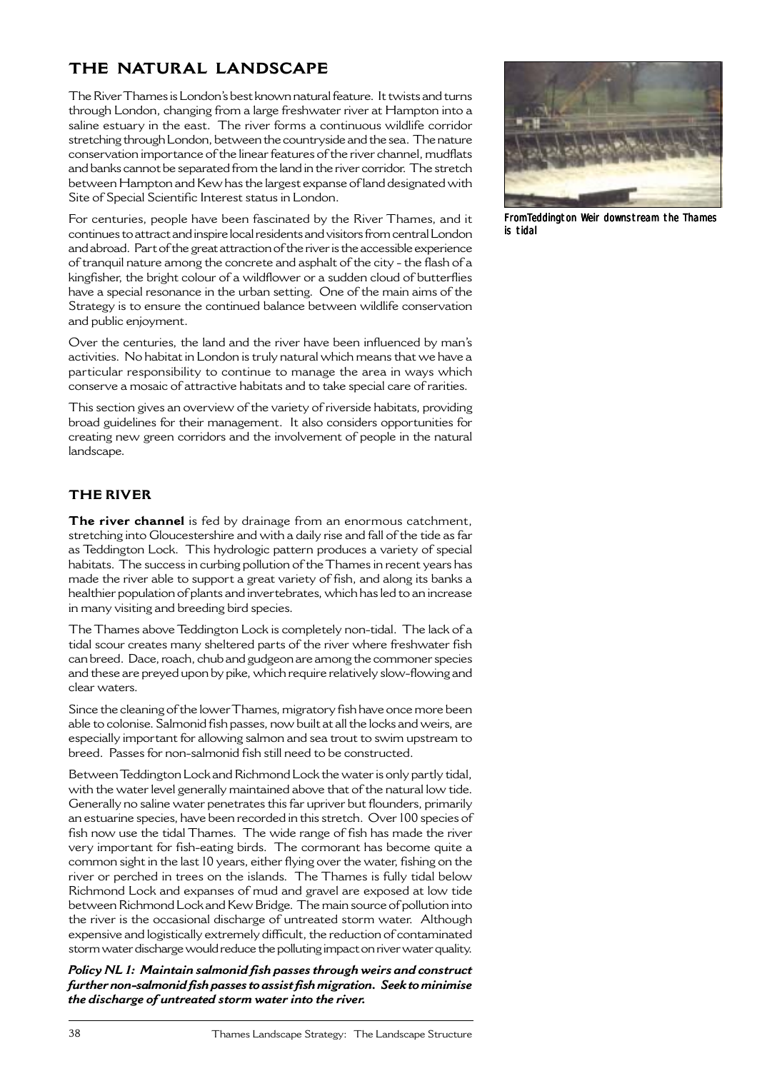# **THE NATURAL LANDSCAPE**

The River Thames is London's best known natural feature. It twists and turns through London, changing from a large freshwater river at Hampton into a saline estuary in the east. The river forms a continuous wildlife corridor stretching through London, between the countryside and the sea. The nature conservation importance of the linear features of the river channel, mudflats and banks cannot be separated from the land in the river corridor. The stretch between Hampton and Kew has the largest expanse of land designated with Site of Special Scientific Interest status in London.

For centuries, people have been fascinated by the River Thames, and it continues to attract and inspire local residents and visitors from central London and abroad. Part of the great attraction of the river is the accessible experience of tranquil nature among the concrete and asphalt of the city - the flash of a kingfisher, the bright colour of a wildflower or a sudden cloud of butterflies have a special resonance in the urban setting. One of the main aims of the Strategy is to ensure the continued balance between wildlife conservation and public enjoyment.

Over the centuries, the land and the river have been influenced by man's activities. No habitat in London is truly natural which means that we have a particular responsibility to continue to manage the area in ways which conserve a mosaic of attractive habitats and to take special care of rarities.

This section gives an overview of the variety of riverside habitats, providing broad guidelines for their management. It also considers opportunities for creating new green corridors and the involvement of people in the natural landscape.

# **THE RIVER**

**The river channel** is fed by drainage from an enormous catchment, stretching into Gloucestershire and with a daily rise and fall of the tide as far as Teddington Lock. This hydrologic pattern produces a variety of special habitats. The success in curbing pollution of the Thames in recent years has made the river able to support a great variety of fish, and along its banks a healthier population of plants and invertebrates, which has led to an increase in many visiting and breeding bird species.

The Thames above Teddington Lock is completely non-tidal. The lack of a tidal scour creates many sheltered parts of the river where freshwater fish can breed. Dace, roach, chub and gudgeon are among the commoner species and these are preyed upon by pike, which require relatively slow-flowing and clear waters.

Since the cleaning of the lower Thames, migratory fish have once more been able to colonise. Salmonid fish passes, now built at all the locks and weirs, are especially important for allowing salmon and sea trout to swim upstream to breed. Passes for non-salmonid fish still need to be constructed.

Between Teddington Lock and Richmond Lock the water is only partly tidal, with the water level generally maintained above that of the natural low tide. Generally no saline water penetrates this far upriver but flounders, primarily an estuarine species, have been recorded in this stretch. Over 100 species of fish now use the tidal Thames. The wide range of fish has made the river very important for fish-eating birds. The cormorant has become quite a common sight in the last 10 years, either flying over the water, fishing on the river or perched in trees on the islands. The Thames is fully tidal below Richmond Lock and expanses of mud and gravel are exposed at low tide between Richmond Lock and Kew Bridge. The main source of pollution into the river is the occasional discharge of untreated storm water. Although expensive and logistically extremely difficult, the reduction of contaminated storm water discharge would reduce the polluting impact on river water quality.

*Policy NL 1: Maintain salmonid fish passes through weirs and construct further non-salmonid fish passes to assist fish migration. Seek to minimise the discharge of untreated storm water into the river.*



FromTeddington Weir downstream the Thames is tidal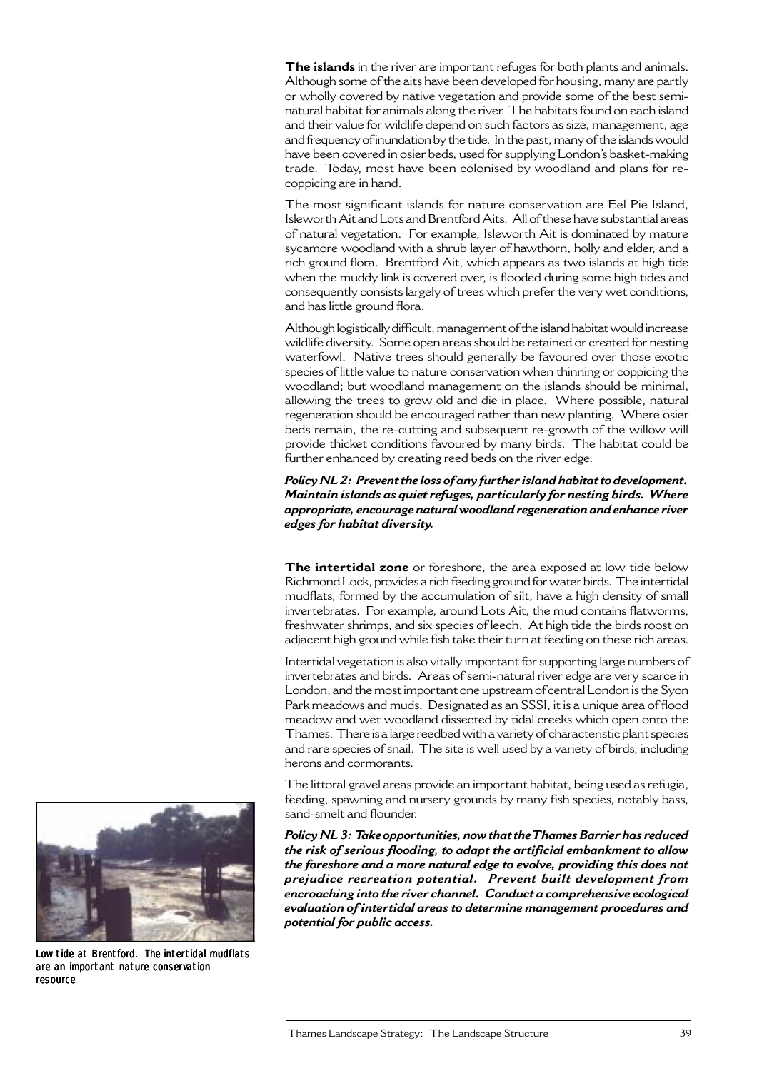**The islands** in the river are important refuges for both plants and animals. Although some of the aits have been developed for housing, many are partly or wholly covered by native vegetation and provide some of the best seminatural habitat for animals along the river. The habitats found on each island and their value for wildlife depend on such factors as size, management, age and frequency of inundation by the tide. In the past, many of the islands would have been covered in osier beds, used for supplying London's basket-making trade. Today, most have been colonised by woodland and plans for recoppicing are in hand.

The most significant islands for nature conservation are Eel Pie Island, Isleworth Ait and Lots and Brentford Aits. All of these have substantial areas of natural vegetation. For example, Isleworth Ait is dominated by mature sycamore woodland with a shrub layer of hawthorn, holly and elder, and a rich ground flora. Brentford Ait, which appears as two islands at high tide when the muddy link is covered over, is flooded during some high tides and consequently consists largely of trees which prefer the very wet conditions, and has little ground flora.

Although logistically difficult, management of the island habitat would increase wildlife diversity. Some open areas should be retained or created for nesting waterfowl. Native trees should generally be favoured over those exotic species of little value to nature conservation when thinning or coppicing the woodland; but woodland management on the islands should be minimal, allowing the trees to grow old and die in place. Where possible, natural regeneration should be encouraged rather than new planting. Where osier beds remain, the re-cutting and subsequent re-growth of the willow will provide thicket conditions favoured by many birds. The habitat could be further enhanced by creating reed beds on the river edge.

*Policy NL 2: Prevent the loss of any further island habitat to development. Maintain islands as quiet refuges, particularly for nesting birds. Where appropriate, encourage natural woodland regeneration and enhance river edges for habitat diversity.*

**The intertidal zone** or foreshore, the area exposed at low tide below Richmond Lock, provides a rich feeding ground for water birds. The intertidal mudflats, formed by the accumulation of silt, have a high density of small invertebrates. For example, around Lots Ait, the mud contains flatworms, freshwater shrimps, and six species of leech. At high tide the birds roost on adjacent high ground while fish take their turn at feeding on these rich areas.

Intertidal vegetation is also vitally important for supporting large numbers of invertebrates and birds. Areas of semi-natural river edge are very scarce in London, and the most important one upstream of central London is the Syon Park meadows and muds. Designated as an SSSI, it is a unique area of flood meadow and wet woodland dissected by tidal creeks which open onto the Thames. There is a large reedbed with a variety of characteristic plant species and rare species of snail. The site is well used by a variety of birds, including herons and cormorants.

The littoral gravel areas provide an important habitat, being used as refugia, feeding, spawning and nursery grounds by many fish species, notably bass, sand-smelt and flounder.

*Policy NL 3: Take opportunities, now that the Thames Barrier has reduced the risk of serious flooding, to adapt the artificial embankment to allow the foreshore and a more natural edge to evolve, providing this does not prejudice recreation potential. Prevent built development from encroaching into the river channel. Conduct a comprehensive ecological evaluation of intertidal areas to determine management procedures and potential for public access.*



Low tide at Brentford. The intertidal mudflats are an important nature conservation resource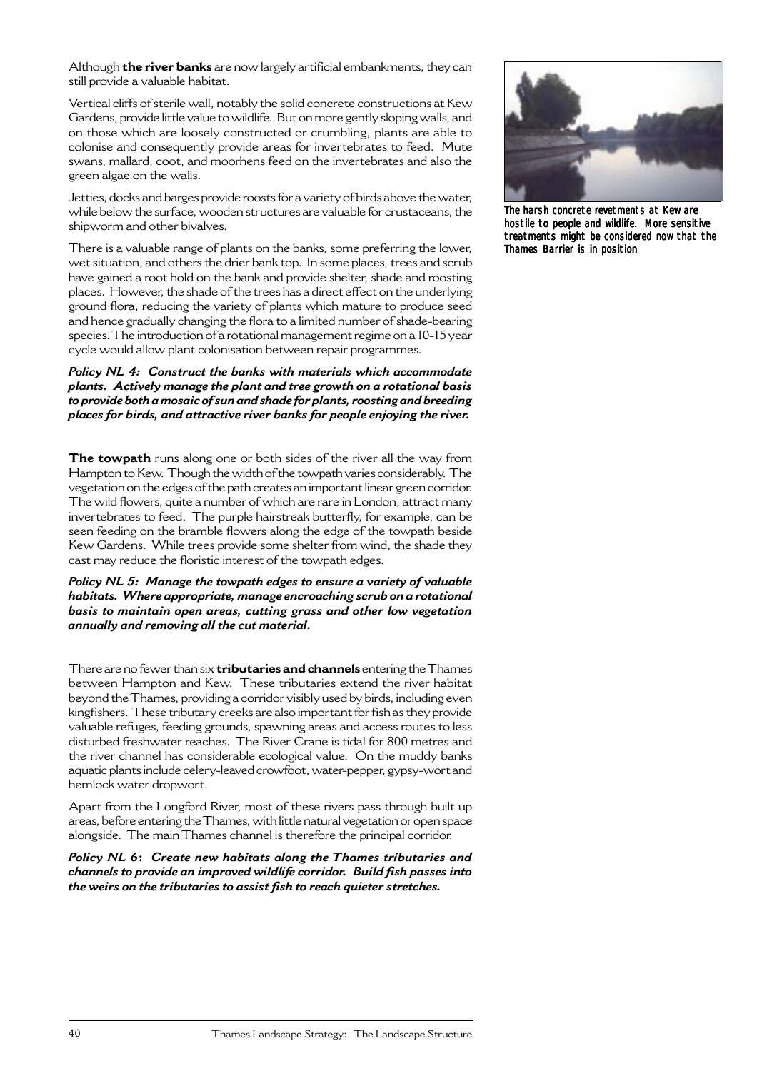Although **the river banks** are now largely artificial embankments, they can still provide a valuable habitat.

Vertical cliffs of sterile wall, notably the solid concrete constructions at Kew Gardens, provide little value to wildlife. But on more gently sloping walls, and on those which are loosely constructed or crumbling, plants are able to colonise and consequently provide areas for invertebrates to feed. Mute swans, mallard, coot, and moorhens feed on the invertebrates and also the green algae on the walls.

Jetties, docks and barges provide roosts for a variety of birds above the water, while below the surface, wooden structures are valuable for crustaceans, the shipworm and other bivalves.

There is a valuable range of plants on the banks, some preferring the lower, wet situation, and others the drier bank top. In some places, trees and scrub have gained a root hold on the bank and provide shelter, shade and roosting places. However, the shade of the trees has a direct effect on the underlying ground flora, reducing the variety of plants which mature to produce seed and hence gradually changing the flora to a limited number of shade-bearing species. The introduction of a rotational management regime on a 10-15 year cycle would allow plant colonisation between repair programmes.

*Policy NL 4: Construct the banks with materials which accommodate plants. Actively manage the plant and tree growth on a rotational basis to provide both a mosaic of sun and shade for plants, roosting and breeding places for birds, and attractive river banks for people enjoying the river.*

**The towpath** runs along one or both sides of the river all the way from Hampton to Kew. Though the width of the towpath varies considerably. The vegetation on the edges of the path creates an important linear green corridor. The wild flowers, quite a number of which are rare in London, attract many invertebrates to feed. The purple hairstreak butterfly, for example, can be seen feeding on the bramble flowers along the edge of the towpath beside Kew Gardens. While trees provide some shelter from wind, the shade they cast may reduce the floristic interest of the towpath edges.

*Policy NL 5: Manage the towpath edges to ensure a variety of valuable habitats. Where appropriate, manage encroaching scrub on a rotational basis to maintain open areas, cutting grass and other low vegetation annually and removing all the cut material.*

There are no fewer than six **tributaries and channels** entering the Thames between Hampton and Kew. These tributaries extend the river habitat beyond the Thames, providing a corridor visibly used by birds, including even kingfishers. These tributary creeks are also important for fish as they provide valuable refuges, feeding grounds, spawning areas and access routes to less disturbed freshwater reaches. The River Crane is tidal for 800 metres and the river channel has considerable ecological value. On the muddy banks aquatic plants include celery-leaved crowfoot, water-pepper, gypsy-wort and hemlock water dropwort.

Apart from the Longford River, most of these rivers pass through built up areas, before entering the Thames, with little natural vegetation or open space alongside. The main Thames channel is therefore the principal corridor.

*Policy NL 6***:** *Create new habitats along the Thames tributaries and channels to provide an improved wildlife corridor. Build fish passes into the weirs on the tributaries to assist fish to reach quieter stretches.*



The harsh concrete revetments at Kew are hostile to people and wildlife. More sensitive treatments might be considered now that the Thames Barrier is in position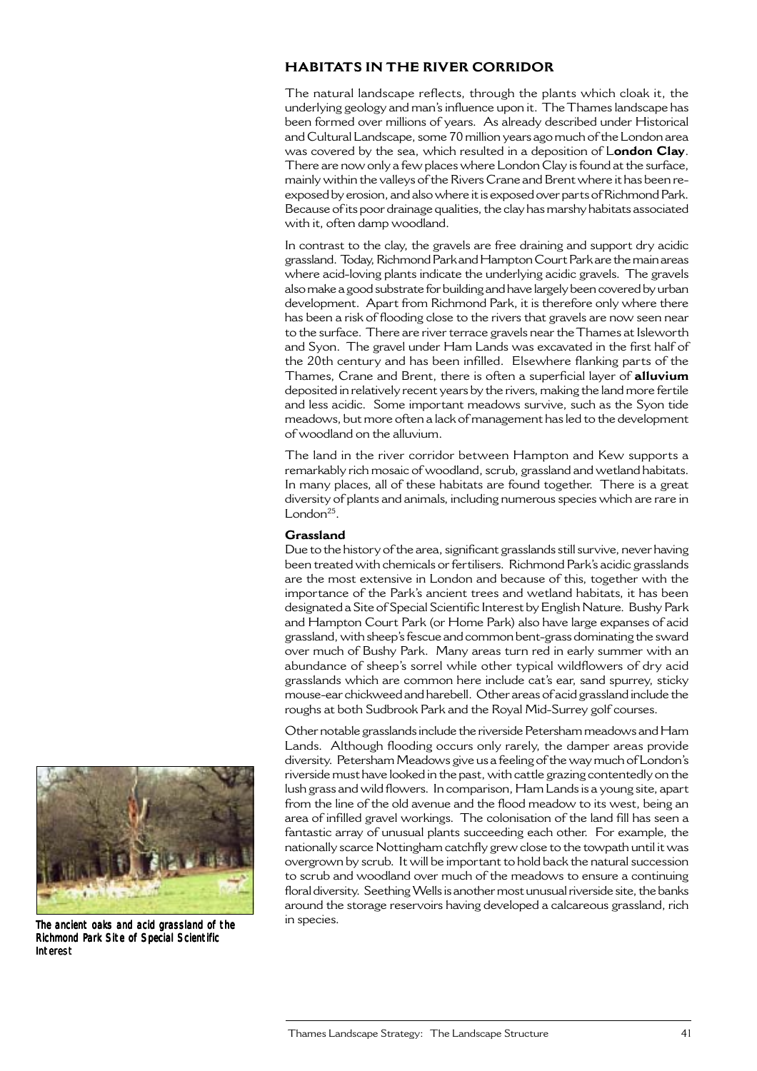# **HABITATS IN THE RIVER CORRIDOR**

The natural landscape reflects, through the plants which cloak it, the underlying geology and man's influence upon it. The Thames landscape has been formed over millions of years. As already described under Historical and Cultural Landscape, some 70 million years ago much of the London area was covered by the sea, which resulted in a deposition of L**ondon Clay**. There are now only a few places where London Clay is found at the surface, mainly within the valleys of the Rivers Crane and Brent where it has been reexposed by erosion, and also where it is exposed over parts of Richmond Park. Because of its poor drainage qualities, the clay has marshy habitats associated with it, often damp woodland.

In contrast to the clay, the gravels are free draining and support dry acidic grassland. Today, Richmond Park and Hampton Court Park are the main areas where acid-loving plants indicate the underlying acidic gravels. The gravels also make a good substrate for building and have largely been covered by urban development. Apart from Richmond Park, it is therefore only where there has been a risk of flooding close to the rivers that gravels are now seen near to the surface. There are river terrace gravels near the Thames at Isleworth and Syon. The gravel under Ham Lands was excavated in the first half of the 20th century and has been infilled. Elsewhere flanking parts of the Thames, Crane and Brent, there is often a superficial layer of **alluvium** deposited in relatively recent years by the rivers, making the land more fertile and less acidic. Some important meadows survive, such as the Syon tide meadows, but more often a lack of management has led to the development of woodland on the alluvium.

The land in the river corridor between Hampton and Kew supports a remarkably rich mosaic of woodland, scrub, grassland and wetland habitats. In many places, all of these habitats are found together. There is a great diversity of plants and animals, including numerous species which are rare in London $25$ .

#### **Grassland**

Due to the history of the area, significant grasslands still survive, never having been treated with chemicals or fertilisers. Richmond Park's acidic grasslands are the most extensive in London and because of this, together with the importance of the Park's ancient trees and wetland habitats, it has been designated a Site of Special Scientific Interest by English Nature. Bushy Park and Hampton Court Park (or Home Park) also have large expanses of acid grassland, with sheep's fescue and common bent-grass dominating the sward over much of Bushy Park. Many areas turn red in early summer with an abundance of sheep's sorrel while other typical wildflowers of dry acid grasslands which are common here include cat's ear, sand spurrey, sticky mouse-ear chickweed and harebell. Other areas of acid grassland include the roughs at both Sudbrook Park and the Royal Mid-Surrey golf courses.

Other notable grasslands include the riverside Petersham meadows and Ham Lands. Although flooding occurs only rarely, the damper areas provide diversity. Petersham Meadows give us a feeling of the way much of London's riverside must have looked in the past, with cattle grazing contentedly on the lush grass and wild flowers. In comparison, Ham Lands is a young site, apart from the line of the old avenue and the flood meadow to its west, being an area of infilled gravel workings. The colonisation of the land fill has seen a fantastic array of unusual plants succeeding each other. For example, the nationally scarce Nottingham catchfly grew close to the towpath until it was overgrown by scrub. It will be important to hold back the natural succession to scrub and woodland over much of the meadows to ensure a continuing floral diversity. Seething Wells is another most unusual riverside site, the banks around the storage reservoirs having developed a calcareous grassland, rich



The ancient oaks and acid grassland of the in species. Richmond Park Site of Special Scientific Interest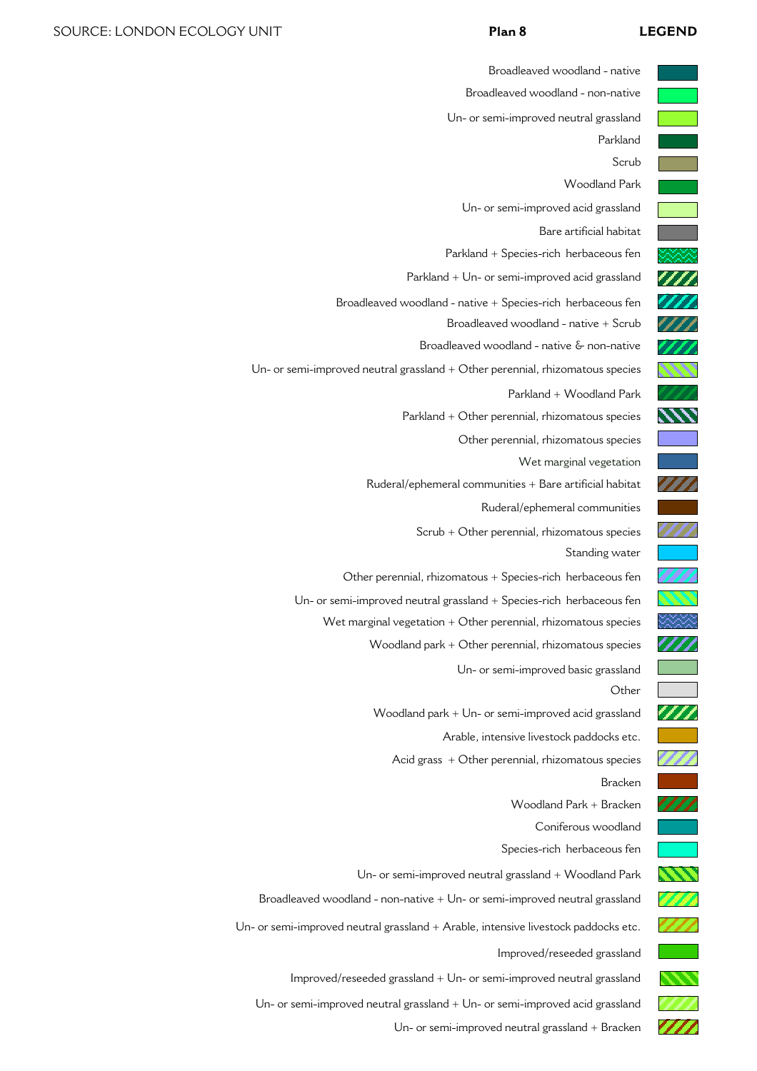Broadleaved woodland - native

 $U_1$ - Or semi-mip

|                            | Broadleaved woodland - non-native                                                  |
|----------------------------|------------------------------------------------------------------------------------|
|                            | Un- or semi-improved neutral grassland                                             |
|                            | Parkland                                                                           |
|                            | Scrub                                                                              |
|                            | <b>Woodland Park</b>                                                               |
|                            | Un- or semi-improved acid grassland                                                |
|                            | Bare artificial habitat                                                            |
|                            | Parkland + Species-rich herbaceous fen                                             |
| 'M                         | Parkland + Un- or semi-improved acid grassland                                     |
| 777                        | Broadleaved woodland - native + Species-rich herbaceous fen                        |
| ///                        | Broadleaved woodland - native + Scrub                                              |
| 77)                        | Broadleaved woodland - native & non-native                                         |
| 711                        | Un- or semi-improved neutral grassland + Other perennial, rhizomatous species      |
| ZZ.                        | Parkland + Woodland Park                                                           |
| $\bm{\mathcal{W}}$         | Parkland + Other perennial, rhizomatous species                                    |
|                            | Other perennial, rhizomatous species                                               |
|                            | Wet marginal vegetation                                                            |
| 77                         | Ruderal/ephemeral communities + Bare artificial habitat                            |
|                            | Ruderal/ephemeral communities                                                      |
|                            | Scrub + Other perennial, rhizomatous species                                       |
|                            | Standing water                                                                     |
|                            | Other perennial, rhizomatous + Species-rich herbaceous fen                         |
|                            | Un- or semi-improved neutral grassland + Species-rich herbaceous fen               |
|                            | Wet marginal vegetation + Other perennial, rhizomatous species                     |
|                            | Woodland park + Other perennial, rhizomatous species                               |
|                            | Un- or semi-improved basic grassland                                               |
|                            | Other                                                                              |
| ///                        | Woodland park + Un- or semi-improved acid grassland                                |
| <b>Service Service</b>     | Arable, intensive livestock paddocks etc.                                          |
| W                          | Acid grass $+$ Other perennial, rhizomatous species                                |
|                            | <b>Bracken</b>                                                                     |
| 777                        | Woodland Park + Bracken                                                            |
|                            | Coniferous woodland                                                                |
|                            | Species-rich herbaceous fen                                                        |
| ヘヘ                         | Un- or semi-improved neutral grassland + Woodland Park                             |
| 7 F I                      | Broadleaved woodland - non-native $+$ Un- or semi-improved neutral grassland       |
| 777                        | Un- or semi-improved neutral grassland + Arable, intensive livestock paddocks etc. |
|                            | Improved/reseeded grassland                                                        |
| $\boldsymbol{\mathcal{N}}$ | Improved/reseeded grassland + Un- or semi-improved neutral grassland               |
|                            | Un- or semi-improved neutral grassland + Un- or semi-improved acid grassland       |
| 777                        | Un- or semi-improved neutral grassland + Bracken                                   |
|                            |                                                                                    |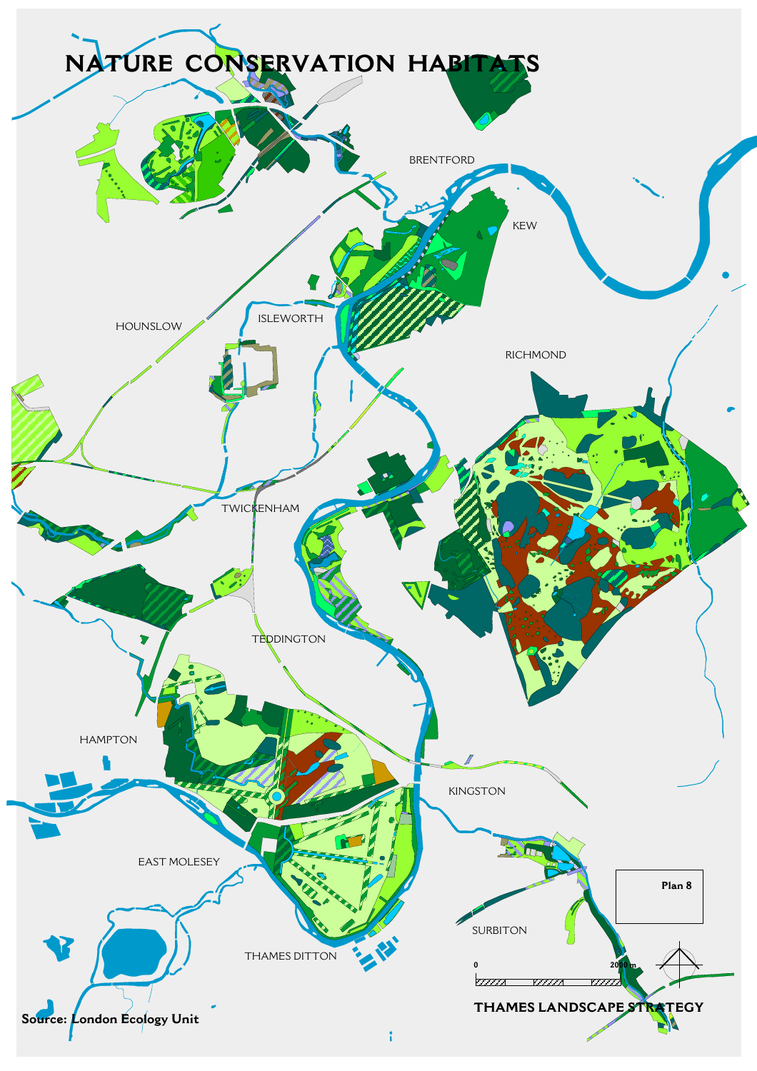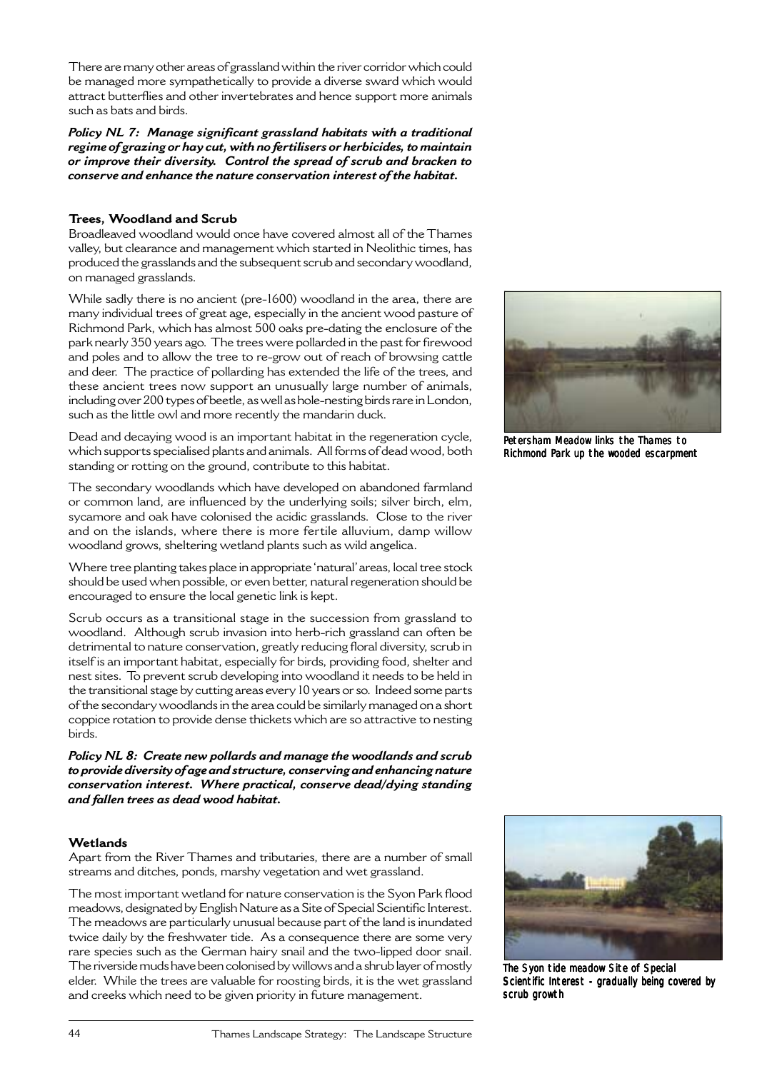There are many other areas of grassland within the river corridor which could be managed more sympathetically to provide a diverse sward which would attract butterflies and other invertebrates and hence support more animals such as bats and birds.

*Policy NL 7: Manage significant grassland habitats with a traditional regime of grazing or hay cut, with no fertilisers or herbicides, to maintain or improve their diversity. Control the spread of scrub and bracken to conserve and enhance the nature conservation interest of the habitat.*

# **Trees, Woodland and Scrub**

Broadleaved woodland would once have covered almost all of the Thames valley, but clearance and management which started in Neolithic times, has produced the grasslands and the subsequent scrub and secondary woodland, on managed grasslands.

While sadly there is no ancient (pre-1600) woodland in the area, there are many individual trees of great age, especially in the ancient wood pasture of Richmond Park, which has almost 500 oaks pre-dating the enclosure of the park nearly 350 years ago. The trees were pollarded in the past for firewood and poles and to allow the tree to re-grow out of reach of browsing cattle and deer. The practice of pollarding has extended the life of the trees, and these ancient trees now support an unusually large number of animals, including over 200 types of beetle, as well as hole-nesting birds rare in London, such as the little owl and more recently the mandarin duck.

Dead and decaying wood is an important habitat in the regeneration cycle, which supports specialised plants and animals. All forms of dead wood, both standing or rotting on the ground, contribute to this habitat.

The secondary woodlands which have developed on abandoned farmland or common land, are influenced by the underlying soils; silver birch, elm, sycamore and oak have colonised the acidic grasslands. Close to the river and on the islands, where there is more fertile alluvium, damp willow woodland grows, sheltering wetland plants such as wild angelica.

Where tree planting takes place in appropriate 'natural' areas, local tree stock should be used when possible, or even better, natural regeneration should be encouraged to ensure the local genetic link is kept.

Scrub occurs as a transitional stage in the succession from grassland to woodland. Although scrub invasion into herb-rich grassland can often be detrimental to nature conservation, greatly reducing floral diversity, scrub in itself is an important habitat, especially for birds, providing food, shelter and nest sites. To prevent scrub developing into woodland it needs to be held in the transitional stage by cutting areas every 10 years or so. Indeed some parts of the secondary woodlands in the area could be similarly managed on a short coppice rotation to provide dense thickets which are so attractive to nesting birds.

*Policy NL 8: Create new pollards and manage the woodlands and scrub to provide diversity of age and structure, conserving and enhancing nature conservation interest. Where practical, conserve dead/dying standing and fallen trees as dead wood habitat.*

### **Wetlands**

Apart from the River Thames and tributaries, there are a number of small streams and ditches, ponds, marshy vegetation and wet grassland.

The most important wetland for nature conservation is the Syon Park flood meadows, designated by English Nature as a Site of Special Scientific Interest. The meadows are particularly unusual because part of the land is inundated twice daily by the freshwater tide. As a consequence there are some very rare species such as the German hairy snail and the two-lipped door snail. The riverside muds have been colonised by willows and a shrub layer of mostly elder. While the trees are valuable for roosting birds, it is the wet grassland and creeks which need to be given priority in future management.



Petersham Meadow links the Thames to Richmond Park up the wooded escarpment



The Syon tide meadow Site of Special Scientific Interest - gradually being covered by scrub growth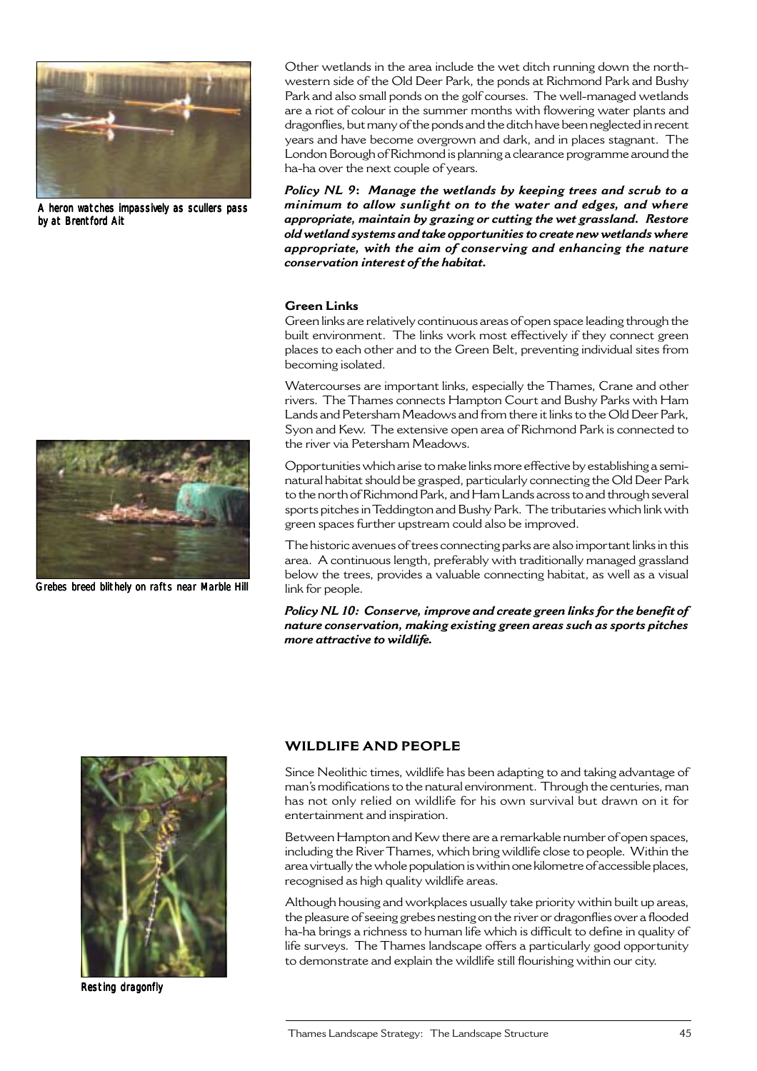

A heron watches impassively as scullers pass by at Brentford Ait



Grebes breed blithely on rafts near Marble Hill

Other wetlands in the area include the wet ditch running down the northwestern side of the Old Deer Park, the ponds at Richmond Park and Bushy Park and also small ponds on the golf courses. The well-managed wetlands are a riot of colour in the summer months with flowering water plants and dragonflies, but many of the ponds and the ditch have been neglected in recent years and have become overgrown and dark, and in places stagnant. The London Borough of Richmond is planning a clearance programme around the ha-ha over the next couple of years.

*Policy NL 9***:** *Manage the wetlands by keeping trees and scrub to a minimum to allow sunlight on to the water and edges, and where appropriate, maintain by grazing or cutting the wet grassland. Restore old wetland systems and take opportunities to create new wetlands where appropriate, with the aim of conserving and enhancing the nature conservation interest of the habitat.*

#### **Green Links**

Green links are relatively continuous areas of open space leading through the built environment. The links work most effectively if they connect green places to each other and to the Green Belt, preventing individual sites from becoming isolated.

Watercourses are important links, especially the Thames, Crane and other rivers. The Thames connects Hampton Court and Bushy Parks with Ham Lands and Petersham Meadows and from there it links to the Old Deer Park, Syon and Kew. The extensive open area of Richmond Park is connected to the river via Petersham Meadows.

Opportunities which arise to make links more effective by establishing a seminatural habitat should be grasped, particularly connecting the Old Deer Park to the north of Richmond Park, and Ham Lands across to and through several sports pitches in Teddington and Bushy Park. The tributaries which link with green spaces further upstream could also be improved.

The historic avenues of trees connecting parks are also important links in this area. A continuous length, preferably with traditionally managed grassland below the trees, provides a valuable connecting habitat, as well as a visual link for people.

*Policy NL 10: Conserve, improve and create green links for the benefit of nature conservation, making existing green areas such as sports pitches more attractive to wildlife.*



Resting dragonfly

# **WILDLIFE AND PEOPLE**

Since Neolithic times, wildlife has been adapting to and taking advantage of man's modifications to the natural environment. Through the centuries, man has not only relied on wildlife for his own survival but drawn on it for entertainment and inspiration.

Between Hampton and Kew there are a remarkable number of open spaces, including the River Thames, which bring wildlife close to people. Within the area virtually the whole population is within one kilometre of accessible places, recognised as high quality wildlife areas.

Although housing and workplaces usually take priority within built up areas, the pleasure of seeing grebes nesting on the river or dragonflies over a flooded ha-ha brings a richness to human life which is difficult to define in quality of life surveys. The Thames landscape offers a particularly good opportunity to demonstrate and explain the wildlife still flourishing within our city.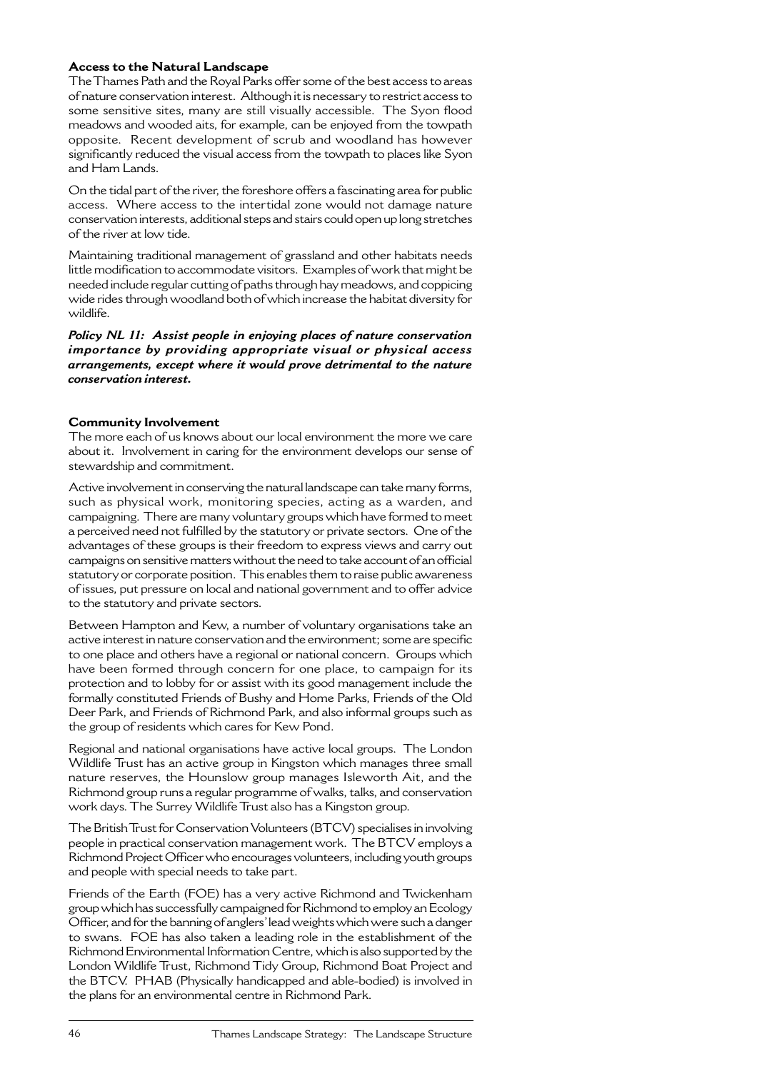# **Access to the Natural Landscape**

The Thames Path and the Royal Parks offer some of the best access to areas of nature conservation interest. Although it is necessary to restrict access to some sensitive sites, many are still visually accessible. The Syon flood meadows and wooded aits, for example, can be enjoyed from the towpath opposite. Recent development of scrub and woodland has however significantly reduced the visual access from the towpath to places like Syon and Ham Lands.

On the tidal part of the river, the foreshore offers a fascinating area for public access. Where access to the intertidal zone would not damage nature conservation interests, additional steps and stairs could open up long stretches of the river at low tide.

Maintaining traditional management of grassland and other habitats needs little modification to accommodate visitors. Examples of work that might be needed include regular cutting of paths through hay meadows, and coppicing wide rides through woodland both of which increase the habitat diversity for wildlife.

*Policy NL 11: Assist people in enjoying places of nature conservation importance by providing appropriate visual or physical access arrangements, except where it would prove detrimental to the nature conservation interest.*

# **Community Involvement**

The more each of us knows about our local environment the more we care about it. Involvement in caring for the environment develops our sense of stewardship and commitment.

Active involvement in conserving the natural landscape can take many forms, such as physical work, monitoring species, acting as a warden, and campaigning. There are many voluntary groups which have formed to meet a perceived need not fulfilled by the statutory or private sectors. One of the advantages of these groups is their freedom to express views and carry out campaigns on sensitive matters without the need to take account of an official statutory or corporate position. This enables them to raise public awareness of issues, put pressure on local and national government and to offer advice to the statutory and private sectors.

Between Hampton and Kew, a number of voluntary organisations take an active interest in nature conservation and the environment; some are specific to one place and others have a regional or national concern. Groups which have been formed through concern for one place, to campaign for its protection and to lobby for or assist with its good management include the formally constituted Friends of Bushy and Home Parks, Friends of the Old Deer Park, and Friends of Richmond Park, and also informal groups such as the group of residents which cares for Kew Pond.

Regional and national organisations have active local groups. The London Wildlife Trust has an active group in Kingston which manages three small nature reserves, the Hounslow group manages Isleworth Ait, and the Richmond group runs a regular programme of walks, talks, and conservation work days. The Surrey Wildlife Trust also has a Kingston group.

The British Trust for Conservation Volunteers (BTCV) specialises in involving people in practical conservation management work. The BTCV employs a Richmond Project Officer who encourages volunteers, including youth groups and people with special needs to take part.

Friends of the Earth (FOE) has a very active Richmond and Twickenham group which has successfully campaigned for Richmond to employ an Ecology Officer, and for the banning of anglers' lead weights which were such a danger to swans. FOE has also taken a leading role in the establishment of the Richmond Environmental Information Centre, which is also supported by the London Wildlife Trust, Richmond Tidy Group, Richmond Boat Project and the BTCV. PHAB (Physically handicapped and able-bodied) is involved in the plans for an environmental centre in Richmond Park.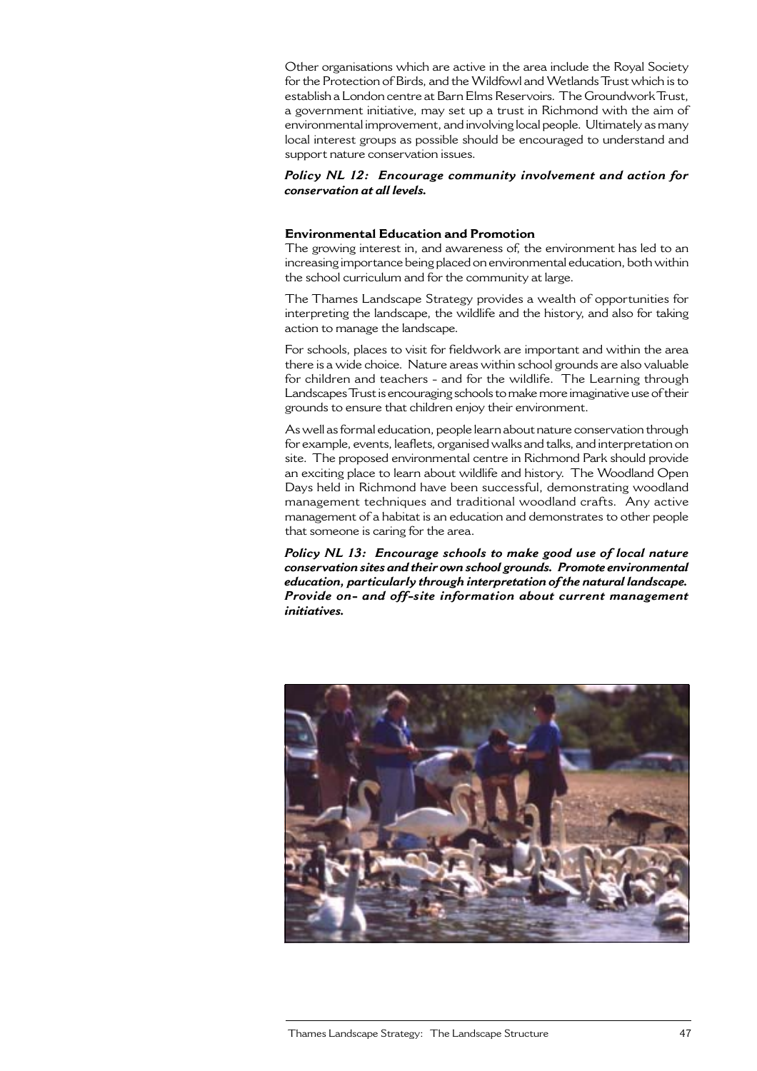Other organisations which are active in the area include the Royal Society for the Protection of Birds, and the Wildfowl and Wetlands Trust which is to establish a London centre at Barn Elms Reservoirs. The Groundwork Trust, a government initiative, may set up a trust in Richmond with the aim of environmental improvement, and involving local people. Ultimately as many local interest groups as possible should be encouraged to understand and support nature conservation issues.

#### *Policy NL 12: Encourage community involvement and action for conservation at all levels.*

### **Environmental Education and Promotion**

The growing interest in, and awareness of, the environment has led to an increasing importance being placed on environmental education, both within the school curriculum and for the community at large.

The Thames Landscape Strategy provides a wealth of opportunities for interpreting the landscape, the wildlife and the history, and also for taking action to manage the landscape.

For schools, places to visit for fieldwork are important and within the area there is a wide choice. Nature areas within school grounds are also valuable for children and teachers - and for the wildlife. The Learning through Landscapes Trust is encouraging schools to make more imaginative use of their grounds to ensure that children enjoy their environment.

As well as formal education, people learn about nature conservation through for example, events, leaflets, organised walks and talks, and interpretation on site. The proposed environmental centre in Richmond Park should provide an exciting place to learn about wildlife and history. The Woodland Open Days held in Richmond have been successful, demonstrating woodland management techniques and traditional woodland crafts. Any active management of a habitat is an education and demonstrates to other people that someone is caring for the area.

*Policy NL 13: Encourage schools to make good use of local nature conservation sites and their own school grounds. Promote environmental education, particularly through interpretation of the natural landscape. Provide on- and off-site information about current management initiatives.*

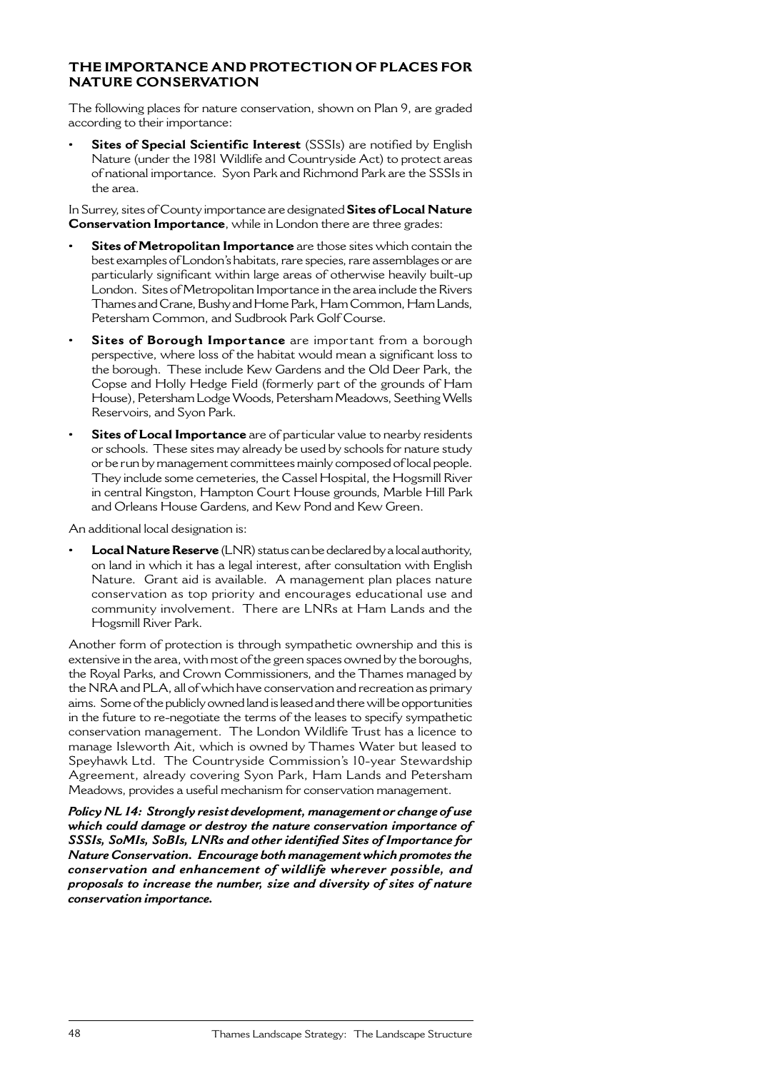# **THE IMPORTANCE AND PROTECTION OF PLACES FOR NATURE CONSERVATION**

The following places for nature conservation, shown on Plan 9, are graded according to their importance:

**Sites of Special Scientific Interest** (SSSIs) are notified by English Nature (under the 1981 Wildlife and Countryside Act) to protect areas of national importance. Syon Park and Richmond Park are the SSSIs in the area.

In Surrey, sites of County importance are designated **Sites of Local Nature Conservation Importance**, while in London there are three grades:

- **Sites of Metropolitan Importance** are those sites which contain the best examples of London's habitats, rare species, rare assemblages or are particularly significant within large areas of otherwise heavily built-up London. Sites of Metropolitan Importance in the area include the Rivers Thames and Crane, Bushy and Home Park, Ham Common, Ham Lands, Petersham Common, and Sudbrook Park Golf Course.
- **Sites of Borough Importance** are important from a borough perspective, where loss of the habitat would mean a significant loss to the borough. These include Kew Gardens and the Old Deer Park, the Copse and Holly Hedge Field (formerly part of the grounds of Ham House), Petersham Lodge Woods, Petersham Meadows, Seething Wells Reservoirs, and Syon Park.
- **Sites of Local Importance** are of particular value to nearby residents or schools. These sites may already be used by schools for nature study or be run by management committees mainly composed of local people. They include some cemeteries, the Cassel Hospital, the Hogsmill River in central Kingston, Hampton Court House grounds, Marble Hill Park and Orleans House Gardens, and Kew Pond and Kew Green.

An additional local designation is:

**• Local Nature Reserve** (LNR) status can be declared by a local authority, on land in which it has a legal interest, after consultation with English Nature. Grant aid is available. A management plan places nature conservation as top priority and encourages educational use and community involvement. There are LNRs at Ham Lands and the Hogsmill River Park.

Another form of protection is through sympathetic ownership and this is extensive in the area, with most of the green spaces owned by the boroughs, the Royal Parks, and Crown Commissioners, and the Thames managed by the NRA and PLA, all of which have conservation and recreation as primary aims. Some of the publicly owned land is leased and there will be opportunities in the future to re-negotiate the terms of the leases to specify sympathetic conservation management. The London Wildlife Trust has a licence to manage Isleworth Ait, which is owned by Thames Water but leased to Speyhawk Ltd. The Countryside Commission's 10-year Stewardship Agreement, already covering Syon Park, Ham Lands and Petersham Meadows, provides a useful mechanism for conservation management.

*Policy NL 14: Strongly resist development, management or change of use which could damage or destroy the nature conservation importance of SSSIs, SoMIs, SoBIs, LNRs and other identified Sites of Importance for Nature Conservation. Encourage both management which promotes the conservation and enhancement of wildlife wherever possible, and proposals to increase the number, size and diversity of sites of nature conservation importance.*